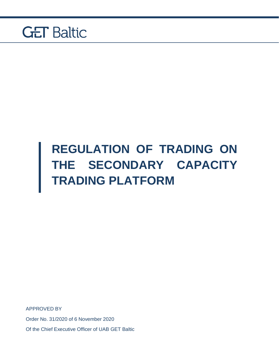

### **REGULATION OF TRADING ON THE SECONDARY CAPACITY TRADING PLATFORM**

APPROVED BY

Order No. 31/2020 of 6 November 2020 Of the Chief Executive Officer of UAB GET Baltic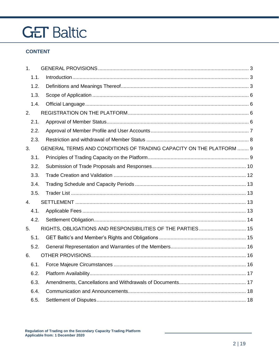#### **CONTENT**

| 1 <sub>1</sub> |                                                                     |
|----------------|---------------------------------------------------------------------|
| 1.1.           |                                                                     |
| 1.2.           |                                                                     |
| 1.3.           |                                                                     |
| 1.4.           |                                                                     |
| 2.             |                                                                     |
| 2.1.           |                                                                     |
| 2.2.           |                                                                     |
| 2.3.           |                                                                     |
| 3.             | GENERAL TERMS AND CONDITIONS OF TRADING CAPACITY ON THE PLATFORM  9 |
| 3.1.           |                                                                     |
| 3.2.           |                                                                     |
| 3.3.           |                                                                     |
| 3.4.           |                                                                     |
| 3.5.           |                                                                     |
| 4.             |                                                                     |
| 4.1.           |                                                                     |
| 4.2.           |                                                                     |
| 5.             | RIGHTS, OBLIGATIONS AND RESPONSIBILITIES OF THE PARTIES 15          |
| 5.1.           |                                                                     |
| 5.2.           |                                                                     |
| 6.             |                                                                     |
| 6.1.           |                                                                     |
| 6.2.           |                                                                     |
| 6.3.           |                                                                     |
| 6.4.           |                                                                     |
| 6.5.           |                                                                     |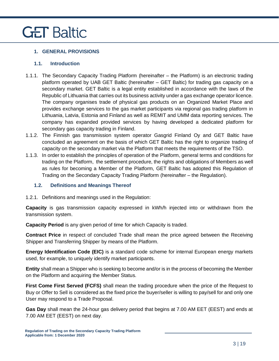#### <span id="page-2-0"></span>**1. GENERAL PROVISIONS**

#### <span id="page-2-1"></span>**1.1. Introduction**

- 1.1.1. The Secondary Capacity Trading Platform (hereinafter the Platform) is an electronic trading platform operated by UAB GET Baltic (hereinafter – GET Baltic) for trading gas capacity on a secondary market. GET Baltic is a legal entity established in accordance with the laws of the Republic of Lithuania that carries out its business activity under a gas exchange operator licence. The company organises trade of physical gas products on an Organized Market Place and provides exchange services to the gas market participants via regional gas trading platform in Lithuania, Latvia, Estonia and Finland as well as REMIT and UMM data reporting services. The company has expanded provided services by having developed a dedicated platform for secondary gas capacity trading in Finland.
- 1.1.2. The Finnish gas transmission system operator Gasgrid Finland Oy and GET Baltic have concluded an agreement on the basis of which GET Baltic has the right to organize trading of capacity on the secondary market via the Platform that meets the requirements of the TSO.
- 1.1.3. In order to establish the principles of operation of the Platform, general terms and conditions for trading on the Platform, the settlement procedure, the rights and obligations of Members as well as rules for becoming a Member of the Platform, GET Baltic has adopted this Regulation of Trading on the Secondary Capacity Trading Platform (hereinafter – the Regulation).

#### <span id="page-2-2"></span>**1.2. Definitions and Meanings Thereof**

<span id="page-2-3"></span>1.2.1. Definitions and meanings used in the Regulation:

**Capacity** is gas transmission capacity expressed in kWh/h injected into or withdrawn from the transmission system.

**Capacity Period** is any given period of time for which Capacity is traded.

**Contract Price** in respect of concluded Trade shall mean the price agreed between the Receiving Shipper and Transferring Shipper by means of the Platform.

**Energy Identification Code (EIC)** is a standard code scheme for internal European energy markets used, for example, to uniquely identify market participants.

**Entity** shall mean a Shipper who is seeking to become and/or is in the process of becoming the Member on the Platform and acquiring the Member Status.

**First Come First Served (FCFS)** shall mean the trading procedure when the price of the Request to Buy or Offer to Sell is considered as the fixed price the buyer/seller is willing to pay/sell for and only one User may respond to a Trade Proposal.

**Gas Day** shall mean the 24-hour gas delivery period that begins at 7.00 AM EET (EEST) and ends at 7.00 AM EET (EEST) on next day.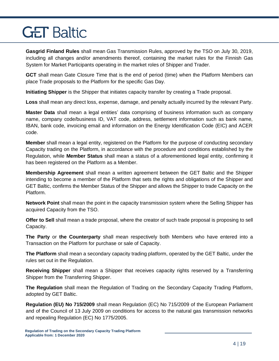**Gasgrid Finland Rules** shall mean Gas Transmission Rules, approved by the TSO on July 30, 2019, including all changes and/or amendments thereof, containing the market rules for the Finnish Gas System for Market Participants operating in the market roles of Shipper and Trader.

**GCT** shall mean Gate Closure Time that is the end of period (time) when the Platform Members can place Trade proposals to the Platform for the specific Gas Day.

**Initiating Shipper** is the Shipper that initiates capacity transfer by creating a Trade proposal.

**Loss** shall mean any direct loss, expense, damage, and penalty actually incurred by the relevant Party.

**Master Data** shall mean a legal entities' data comprising of business information such as company name, company code/business ID, VAT code, address, settlement information such as bank name, IBAN, bank code, invoicing email and information on the Energy Identification Code (EIC) and ACER code.

**Member** shall mean a legal entity, registered on the Platform for the purpose of conducting secondary Capacity trading on the Platform, in accordance with the procedure and conditions established by the Regulation, while **Member Status** shall mean a status of a aforementioned legal entity, confirming it has been registered on the Platform as a Member.

**Membership Agreement** shall mean a written agreement between the GET Baltic and the Shipper intending to become a member of the Platform that sets the rights and obligations of the Shipper and GET Baltic, confirms the Member Status of the Shipper and allows the Shipper to trade Capacity on the Platform.

**Network Point** shall mean the point in the capacity transmission system where the Selling Shipper has acquired Capacity from the TSO.

**Offer to Sell** shall mean a trade proposal, where the creator of such trade proposal is proposing to sell Capacity.

**The Party** or **the Counterparty** shall mean respectively both Members who have entered into a Transaction on the Platform for purchase or sale of Capacity.

**The Platform** shall mean a secondary capacity trading platform, operated by the GET Baltic, under the rules set out in the Regulation.

**Receiving Shipper** shall mean a Shipper that receives capacity rights reserved by a Transferring Shipper from the Transferring Shipper.

**The Regulation** shall mean the Regulation of Trading on the Secondary Capacity Trading Platform, adopted by GET Baltic.

**Regulation (EU) No 715/2009** shall mean Regulation (EC) No 715/2009 of the European Parliament and of the Council of 13 July 2009 on conditions for access to the natural gas transmission networks and repealing Regulation (EC) No 1775/2005.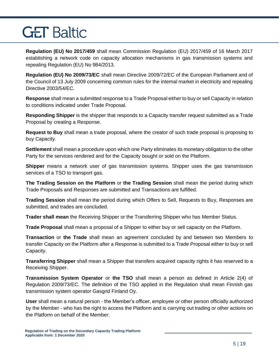**Regulation (EU) No 2017/459** shall mean Commission Regulation (EU) 2017/459 of 16 March 2017 establishing a network code on capacity allocation mechanisms in gas transmission systems and repealing Regulation (EU) No 984/2013.

**Regulation (EU) No 2009/73/EC** shall mean Directive 2009/72/EC of the European Parliament and of the Council of 13 July 2009 concerning common rules for the internal market in electricity and repealing Directive 2003/54/EC.

**Response** shall mean a submitted response to a Trade Proposal either to buy or sell Capacity in relation to conditions indicated under Trade Proposal.

**Responding Shipper** is the shipper that responds to a Capacity transfer request submitted as a Trade Proposal by creating a Response.

**Request to Buy** shall mean a trade proposal, where the creator of such trade proposal is proposing to buy Capacity.

**Settlement** shall mean a procedure upon which one Party eliminates its monetary obligation to the other Party for the services rendered and for the Capacity bought or sold on the Platform.

**Shipper** means a network user of gas transmission systems. Shipper uses the gas transmission services of a TSO to transport gas.

**The Trading Session on the Platform** or **the Trading Session** shall mean the period during which Trade Proposals and Responses are submitted and Transactions are fulfilled.

**Trading Session** shall mean the period during which Offers to Sell, Requests to Buy, Responses are submitted, and trades are concluded.

**Trader shall mean** the Receiving Shipper or the Transferring Shipper who has Member Status.

**Trade Proposal** shall mean a proposal of a Shipper to either buy or sell capacity on the Platform.

**Transaction** or **the Trade** shall mean an agreement concluded by and between two Members to transfer Capacity on the Platform after a Response is submitted to a Trade Proposal either to buy or sell Capacity.

**Transferring Shipper** shall mean a Shipper that transfers acquired capacity rights it has reserved to a Receiving Shipper.

**Transmission System Operator** or **the TSO** shall mean a person as defined in Article 2(4) of Regulation 2009/73/EC. The definition of the TSO applied in the Regulation shall mean Finnish gas transmission system operator Gasgrid Finland Oy.

**User** shall mean a natural person - the Member's officer, employee or other person officially authorized by the Member - who has the right to access the Platform and is carrying out trading or other actions on the Platform on behalf of the Member.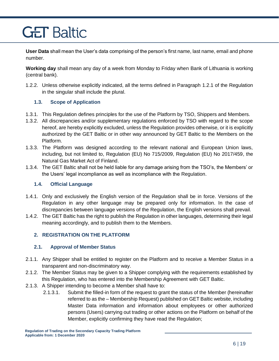**User Data** shall mean the User's data comprising of the person's first name, last name, email and phone number.

**Working day** shall mean any day of a week from Monday to Friday when Bank of Lithuania is working (central bank).

1.2.2. Unless otherwise explicitly indicated, all the terms defined in Paragraph [1.2.1](#page-2-3) of the Regulation in the singular shall include the plural.

#### <span id="page-5-0"></span>**1.3. Scope of Application**

- 1.3.1. This Regulation defines principles for the use of the Platform by TSO, Shippers and Members.
- 1.3.2. All discrepancies and/or supplementary regulations enforced by TSO with regard to the scope hereof, are hereby explicitly excluded, unless the Regulation provides otherwise, or it is explicitly authorized by the GET Baltic or in other way announced by GET Baltic to the Members on the Platform.
- <span id="page-5-6"></span>1.3.3. The Platform was designed according to the relevant national and European Union laws, including, but not limited to, Regulation (EU) No 715/2009, Regulation (EU) No 2017/459, the Natural Gas Market Act of Finland.
- 1.3.4. The GET Baltic shall not be held liable for any damage arising from the TSO's, the Members' or the Users' legal incompliance as well as incompliance with the Regulation.

#### <span id="page-5-1"></span>**1.4. Official Language**

- 1.4.1. Only and exclusively the English version of the Regulation shall be in force. Versions of the Regulation in any other language may be prepared only for information. In the case of discrepancies between language versions of the Regulation, the English versions shall prevail.
- 1.4.2. The GET Baltic has the right to publish the Regulation in other languages, determining their legal meaning accordingly, and to publish them to the Members.

#### <span id="page-5-2"></span>**2. REGISTRATION ON THE PLATFORM**

#### <span id="page-5-4"></span><span id="page-5-3"></span>**2.1. Approval of Member Status**

- 2.1.1. Any Shipper shall be entitled to register on the Platform and to receive a Member Status in a transparent and non-discriminatory way.
- <span id="page-5-5"></span>2.1.2. The Member Status may be given to a Shipper complying with the requirements established by this Regulation, who has entered into the Membership Agreement with GET Baltic.
- 2.1.3. A Shipper intending to become a Member shall have to:
	- 2.1.3.1. Submit the filled-in form of the request to grant the status of the Member (hereinafter referred to as the – Membership Request) published on GET Baltic website, including Master Data information and information about employees or other authorized persons (Users) carrying out trading or other actions on the Platform on behalf of the Member, explicitly confirming they have read the Regulation;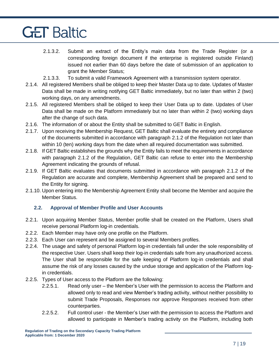- 2.1.3.2. Submit an extract of the Entity's main data from the Trade Register (or a corresponding foreign document if the enterprise is registered outside Finland) issued not earlier than 60 days before the date of submission of an application to grant the Member Status;
- 2.1.3.3. To submit a valid Framework Agreement with a transmission system operator.
- 2.1.4. All registered Members shall be obliged to keep their Master Data up to date. Updates of Master Data shall be made in writing notifying GET Baltic immediately, but no later than within 2 (two) working days, on any amendments.
- 2.1.5. All registered Members shall be obliged to keep their User Data up to date. Updates of User Data shall be made on the Platform immediately but no later than within 2 (two) working days after the change of such data.
- 2.1.6. The information of or about the Entity shall be submitted to GET Baltic in English.
- 2.1.7. Upon receiving the Membership Request, GET Baltic shall evaluate the entirety and compliance of the documents submitted in accordance with paragraph [2.1.2](#page-5-4) of the Regulation not later than within 10 (ten) working days from the date when all required documentation was submitted.
- 2.1.8. If GET Baltic establishes the grounds why the Entity fails to meet the requirements in accordance with paragraph [2.1.2](#page-5-4) of the Regulation, GET Baltic can refuse to enter into the Membership Agreement indicating the grounds of refusal.
- 2.1.9. If GET Baltic evaluates that documents submitted in accordance with paragraph [2.1.2](#page-5-4) of the Regulation are accurate and complete, Membership Agreement shall be prepared and send to the Entity for signing.
- 2.1.10. Upon entering into the Membership Agreement Entity shall become the Member and acquire the Member Status.

#### <span id="page-6-0"></span>**2.2. Approval of Member Profile and User Accounts**

- 2.2.1. Upon acquiring Member Status, Member profile shall be created on the Platform, Users shall receive personal Platform log-in credentials.
- 2.2.2. Each Member may have only one profile on the Platform.
- 2.2.3. Each User can represent and be assigned to several Members profiles.
- 2.2.4. The usage and safety of personal Platform log-in credentials fall under the sole responsibility of the respective User. Users shall keep their log-in credentials safe from any unauthorized access. The User shall be responsible for the safe keeping of Platform log-in credentials and shall assume the risk of any losses caused by the undue storage and application of the Platform login credentials.
- 2.2.5. Types of User access to the Platform are the following:
	- 2.2.5.1. Read only user the Member's User with the permission to access the Platform and allowed only to read and view Member's trading activity, without neither possibility to submit Trade Proposals, Responses nor approve Responses received from other counterparties.
	- 2.2.5.2. Full control user the Member's User with the permission to access the Platform and allowed to participate in Member's trading activity on the Platform, including both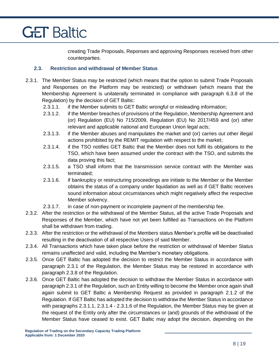creating Trade Proposals, Reponses and approving Responses received from other counterparties.

#### <span id="page-7-0"></span>**2.3. Restriction and withdrawal of Member Status**

- <span id="page-7-3"></span><span id="page-7-2"></span><span id="page-7-1"></span>2.3.1. The Member Status may be restricted (which means that the option to submit Trade Proposals and Responses on the Platform may be restricted) or withdrawn (which means that the Membership Agreement is unilaterally terminated in compliance with paragraph [6.3.8](#page-17-2) of the Regulation) by the decision of GET Baltic:
	- 2.3.1.1. if the Member submits to GET Baltic wrongful or misleading information;
	- 2.3.1.2. if the Member breaches of provisions of the Regulation, Membership Agreement and (or) Regulation (EU) No 715/2009, Regulation (EU) No 2017/459 and (or) other relevant and applicable national and European Union legal acts;
	- 2.3.1.3. if the Member abuses and manipulates the market and (or) carries out other illegal actions prohibited by the REMIT regulation with respect to the market;
	- 2.3.1.4. if the TSO notifies GET Baltic that the Member does not fulfil its obligations to the TSO, which have been assumed under the contract with the TSO, and submits the data proving this fact;
	- 2.3.1.5. a TSO shall inform that the transmission service contract with the Member was terminated;
	- 2.3.1.6. if bankruptcy or restructuring proceedings are initiate to the Member or the Member obtains the status of a company under liquidation as well as if GET Baltic receives sound information about circumstances which might negatively affect the respective Member solvency.
	- 2.3.1.7. in case of non-payment or incomplete payment of the membership fee.
- <span id="page-7-4"></span>2.3.2. After the restriction or the withdrawal of the Member Status, all the active Trade Proposals and Responses of the Member, which have not yet been fulfilled as Transactions on the Platform shall be withdrawn from trading.
- 2.3.3. After the restriction or the withdrawal of the Members status Member's profile will be deactivated resulting in the deactivation of all respective Users of said Member.
- 2.3.4. All Transactions which have taken place before the restriction or withdrawal of Member Status remains unaffected and valid, including the Member's monetary obligations.
- 2.3.5. Once GET Baltic has adopted the decision to restrict the Member Status in accordance with paragraph [2.3.1](#page-7-1) of the Regulation, the Member Status may be restored in accordance with paragraph [2.3.8](#page-8-2) of the Regulation.
- 2.3.6. Once GET Baltic has adopted the decision to withdraw the Member Status in accordance with paragraph [2.3.1](#page-7-1) of the Regulation, such an Entity willing to become the Member once again shall again submit to GET Baltic a Membership Request as provided in paragraph [2.1.2](#page-5-5) of the Regulation. If GET Baltic has adopted the decision to withdraw the Member Status in accordance with paragraphs [2.3.1.1,](#page-7-2) [2.3.1.4](#page-7-3) - [2.3.1.6](#page-7-4) of the Regulation, the Member Status may be given at the request of the Entity only after the circumstances or (and) grounds of the withdrawal of the Member Status have ceased to exist. GET Baltic may adopt the decision, depending on the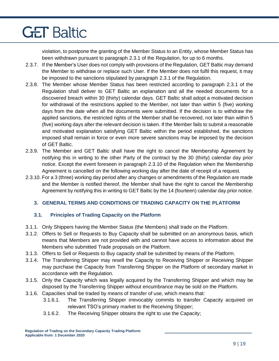violation, to postpone the granting of the Member Status to an Entity, whose Member Status has been withdrawn pursuant to paragraph [2.3.1](#page-7-1) of the Regulation, for up to 6 months.

- 2.3.7. If the Member's User does not comply with provisions of the Regulation, GET Baltic may demand the Member to withdraw or replace such User. If the Member does not fulfil this request, it may be imposed to the sanctions stipulated by paragraph [2.3.1](#page-7-1) of the Regulation.
- <span id="page-8-2"></span>2.3.8. The Member whose Member Status has been restricted according to paragraph [2.3.1](#page-7-1) of the Regulation shall deliver to GET Baltic an explanation and all the needed documents for a discovered breach within 30 (thirty) calendar days. GET Baltic shall adopt a motivated decision for withdrawal of the restrictions applied to the Member, not later than within 5 (five) working days from the date when all the documents were submitted. If the decision is to withdraw the applied sanctions, the restricted rights of the Member shall be recovered, not later than within 5 (five) working days after the relevant decision is taken. If the Member fails to submit a reasonable and motivated explanation satisfying GET Baltic within the period established, the sanctions imposed shall remain in force or even more severe sanctions may be imposed by the decision of GET Baltic.
- <span id="page-8-4"></span>2.3.9. The Member and GET Baltic shall have the right to cancel the Membership Agreement by notifying this in writing to the other Party of the contract by the 30 (thirty) calendar day prior notice. Except the event foreseen in paragraph [2.3.10](#page-8-3) of the Regulation when the Membership Agreement is cancelled on the following working day after the date of receipt of a request.
- <span id="page-8-3"></span>2.3.10. For a 3 (three) working day period after any changes or amendments of the Regulation are made and the Member is notified thereof, the Member shall have the right to cancel the Membership Agreement by notifying this in writing to GET Baltic by the 14 (fourteen) calendar day prior notice.

#### <span id="page-8-0"></span>**3. GENERAL TERMS AND CONDITIONS OF TRADING CAPACITY ON THE PLATFORM**

#### <span id="page-8-1"></span>**3.1. Principles of Trading Capacity on the Platform**

- 3.1.1. Only Shippers having the Member Status (the Members) shall trade on the Platform.
- 3.1.2. Offers to Sell or Requests to Buy Capacity shall be submitted on an anonymous basis, which means that Members are not provided with and cannot have access to information about the Members who submitted Trade proposals on the Platform.
- 3.1.3. Offers to Sell or Requests to Buy capacity shall be submitted by means of the Platform.
- 3.1.4. The Transferring Shipper may resell the Capacity to Receiving Shipper or Receiving Shipper may purchase the Capacity from Transferring Shipper on the Platform of secondary market in accordance with the Regulation.
- 3.1.5. Only the Capacity which was legally acquired by the Transferring Shipper and which may be disposed by the Transferring Shipper without encumbrance may be sold on the Platform.
- 3.1.6. Capacities shall be traded by means of transfer of use, which means that:
	- 3.1.6.1. The Transferring Shipper irrevocably commits to transfer Capacity acquired on relevant TSO's primary market to the Receiving Shipper;
	- 3.1.6.2. The Receiving Shipper obtains the right to use the Capacity;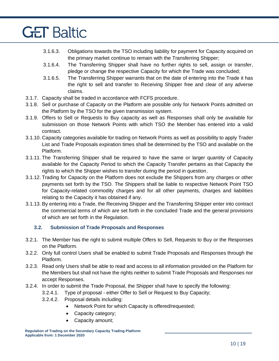- 3.1.6.3. Obligations towards the TSO including liability for payment for Capacity acquired on the primary market continue to remain with the Transferring Shipper;
- 3.1.6.4. The Transferring Shipper shall have no further rights to sell, assign or transfer, pledge or change the respective Capacity for which the Trade was concluded;
- 3.1.6.5. The Transferring Shipper warrants that on the date of entering into the Trade it has the right to sell and transfer to Receiving Shipper free and clear of any adverse claims.
- 3.1.7. Capacity shall be traded in accordance with FCFS procedure.
- 3.1.8. Sell or purchase of Capacity on the Platform are possible only for Network Points admitted on the Platform by the TSO for the given transmission system.
- 3.1.9. Offers to Sell or Requests to Buy capacity as well as Responses shall only be available for submission on those Network Points with which TSO the Member has entered into a valid contract.
- 3.1.10. Capacity categories available for trading on Network Points as well as possibility to apply Trader List and Trade Proposals expiration times shall be determined by the TSO and available on the Platform.
- 3.1.11. The Transferring Shipper shall be required to have the same or larger quantity of Capacity available for the Capacity Period to which the Capacity Transfer pertains as that Capacity the rights to which the Shipper wishes to transfer during the period in question.
- 3.1.12. Trading for Capacity on the Platform does not exclude the Shippers from any charges or other payments set forth by the TSO. The Shippers shall be liable to respective Network Point TSO for Capacity-related commodity charges and for all other payments, charges and liabilities relating to the Capacity it has obtained if any.
- 3.1.13. By entering into a Trade, the Receiving Shipper and the Transferring Shipper enter into contract the commercial terms of which are set forth in the concluded Trade and the general provisions of which are set forth in the Regulation.

#### <span id="page-9-0"></span>**3.2. Submission of Trade Proposals and Responses**

- 3.2.1. The Member has the right to submit multiple Offers to Sell, Requests to Buy or the Responses on the Platform.
- 3.2.2. Only full control Users shall be enabled to submit Trade Proposals and Responses through the Platform.
- 3.2.3. Read only Users shall be able to read and access to all information provided on the Platform for the Members but shall not have the rights neither to submit Trade Proposals and Responses nor accept Responses.
- 3.2.4. In order to submit the Trade Proposal, the Shipper shall have to specify the following:
	- 3.2.4.1. Type of proposal either Offer to Sell or Request to Buy Capacity;
	- 3.2.4.2. Proposal details including:
		- Network Point for which Capacity is offered/requested;
		- Capacity category;
		- Capacity amount;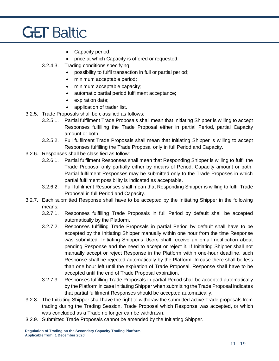- Capacity period;
- price at which Capacity is offered or requested.
- 3.2.4.3. Trading conditions specifying:
	- possibility to fulfil transaction in full or partial period;
	- minimum acceptable period;
	- minimum acceptable capacity;
	- automatic partial period fulfilment acceptance;
	- expiration date;
	- application of trader list.
- 3.2.5. Trade Proposals shall be classified as follows:
	- 3.2.5.1. Partial fulfilment Trade Proposals shall mean that Initiating Shipper is willing to accept Responses fulfilling the Trade Proposal either in partial Period, partial Capacity amount or both.
	- 3.2.5.2. Full fulfilment Trade Proposals shall mean that Initiating Shipper is willing to accept Responses fulfilling the Trade Proposal only in full Period and Capacity.
- 3.2.6. Responses shall be classified as follow:
	- 3.2.6.1. Partial fulfilment Responses shall mean that Responding Shipper is willing to fulfil the Trade Proposal only partially either by means of Period, Capacity amount or both. Partial fulfilment Responses may be submitted only to the Trade Proposes in which partial fulfilment possibility is indicated as acceptable.
	- 3.2.6.2. Full fulfilment Responses shall mean that Responding Shipper is willing to fulfil Trade Proposal in full Period and Capacity.
- <span id="page-10-0"></span>3.2.7. Each submitted Response shall have to be accepted by the Initiating Shipper in the following means:
	- 3.2.7.1. Responses fulfilling Trade Proposals in full Period by default shall be accepted automatically by the Platform.
	- 3.2.7.2. Responses fulfilling Trade Proposals in partial Period by default shall have to be accepted by the Initiating Shipper manually within one hour from the time Response was submitted. Initiating Shipper's Users shall receive an email notification about pending Response and the need to accept or reject it. If Initiating Shipper shall not manually accept or reject Response in the Platform within one-hour deadline, such Response shall be rejected automatically by the Platform. In case there shall be less than one hour left until the expiration of Trade Proposal, Response shall have to be accepted until the end of Trade Proposal expiration.
	- 3.2.7.3. Responses fulfilling Trade Proposals in partial Period shall be accepted automatically by the Platform in case Initiating Shipper when submitting the Trade Proposal indicates that partial fulfilment Responses should be accepted automatically.
- 3.2.8. The Initiating Shipper shall have the right to withdraw the submitted active Trade proposals from trading during the Trading Session. Trade Proposal which Response was accepted, or which was concluded as a Trade no longer can be withdrawn.
- 3.2.9. Submitted Trade Proposals cannot be amended by the Initiating Shipper.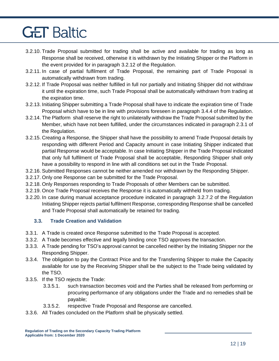- 3.2.10. Trade Proposal submitted for trading shall be active and available for trading as long as Response shall be received, otherwise it is withdrawn by the Initiating Shipper or the Platform in the event provided for in paragraph [3.2.12](#page-11-1) of the Regulation.
- 3.2.11. In case of partial fulfilment of Trade Proposal, the remaining part of Trade Proposal is automatically withdrawn from trading.
- <span id="page-11-1"></span>3.2.12. If Trade Proposal was neither fulfilled in full nor partially and Initiating Shipper did not withdraw it until the expiration time, such Trade Proposal shall be automatically withdrawn from trading at the expiration time.
- 3.2.13. Initiating Shipper submitting a Trade Proposal shall have to indicate the expiration time of Trade Proposal which have to be in line with provisions foreseen in paragraph [3.4.4](#page-12-4) of the Regulation.
- 3.2.14. The Platform shall reserve the right to unilaterally withdraw the Trade Proposal submitted by the Member, which have not been fulfilled, under the circumstances indicated in paragraph [2.3.1](#page-7-1) of the Regulation.
- 3.2.15. Creating a Response, the Shipper shall have the possibility to amend Trade Proposal details by responding with different Period and Capacity amount in case Initiating Shipper indicated that partial Response would be acceptable. In case Initiating Shipper in the Trade Proposal indicated that only full fulfilment of Trade Proposal shall be acceptable, Responding Shipper shall only have a possibility to respond in line with all conditions set out in the Trade Proposal.
- 3.2.16. Submitted Responses cannot be neither amended nor withdrawn by the Responding Shipper.
- 3.2.17. Only one Response can be submitted for the Trade Proposal.
- 3.2.18. Only Responses responding to Trade Proposals of other Members can be submitted.
- 3.2.19. Once Trade Proposal receives the Response it is automatically withheld from trading.
- 3.2.20. In case during manual acceptance procedure indicated in paragraph [3.2.7.2](#page-10-0) of the Regulation Initiating Shipper rejects partial fulfilment Response, corresponding Response shall be cancelled and Trade Proposal shall automatically be retained for trading.

#### <span id="page-11-0"></span>**3.3. Trade Creation and Validation**

- 3.3.1. A Trade is created once Response submitted to the Trade Proposal is accepted.
- 3.3.2. A Trade becomes effective and legally binding once TSO approves the transaction.
- 3.3.3. A Trade pending for TSO's approval cannot be cancelled neither by the Initiating Shipper nor the Responding Shipper.
- 3.3.4. The obligation to pay the Contract Price and for the Transferring Shipper to make the Capacity available for use by the Receiving Shipper shall be the subject to the Trade being validated by the TSO.
- 3.3.5. If the TSO rejects the Trade:
	- 3.3.5.1. such transaction becomes void and the Parties shall be released from performing or procuring performance of any obligations under the Trade and no remedies shall be payable;
	- 3.3.5.2. respective Trade Proposal and Response are cancelled.
- 3.3.6. All Trades concluded on the Platform shall be physically settled.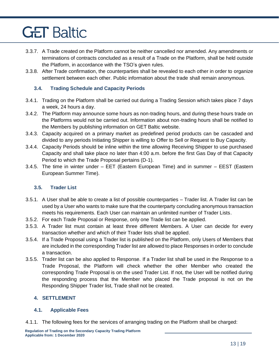- 3.3.7. A Trade created on the Platform cannot be neither cancelled nor amended. Any amendments or terminations of contracts concluded as a result of a Trade on the Platform, shall be held outside the Platform, in accordance with the TSO's given rules.
- 3.3.8. After Trade confirmation, the counterparties shall be revealed to each other in order to organize settlement between each other. Public information about the trade shall remain anonymous.

#### <span id="page-12-0"></span>**3.4. Trading Schedule and Capacity Periods**

- 3.4.1. Trading on the Platform shall be carried out during a Trading Session which takes place 7 days a week, 24 hours a day.
- <span id="page-12-5"></span>3.4.2. The Platform may announce some hours as non-trading hours, and during these hours trade on the Platforms would not be carried out. Information about non-trading hours shall be notified to the Members by publishing information on GET Baltic website.
- 3.4.3. Capacity acquired on a primary market as predefined period products can be cascaded and divided to any periods Initiating Shipper is willing to Offer to Sell or Request to Buy Capacity.
- <span id="page-12-4"></span>3.4.4. Capacity Periods should be inline within the time allowing Receiving Shipper to use purchased Capacity and shall take place no later than 4:00 a.m. before the first Gas Day of that Capacity Period to which the Trade Proposal pertains (D-1).
- 3.4.5. The time in winter under EET (Eastern European Time) and in summer EEST (Eastern European Summer Time).

#### <span id="page-12-1"></span>**3.5. Trader List**

- 3.5.1. A User shall be able to create a list of possible counterparties Trader list. A Trader list can be used by a User who wants to make sure that the counterparty concluding anonymous transaction meets his requirements. Each User can maintain an unlimited number of Trader Lists.
- 3.5.2. For each Trade Proposal or Response, only one Trade list can be applied.
- 3.5.3. A Trader list must contain at least three different Members. A User can decide for every transaction whether and which of their Trader lists shall be applied.
- 3.5.4. If a Trade Proposal using a Trader list is published on the Platform, only Users of Members that are included in the corresponding Trader list are allowed to place Responses in order to conclude a transaction.
- 3.5.5. Trader list can be also applied to Response. If a Trader list shall be used in the Response to a Trade Proposal, the Platform will check whether the other Member who created the corresponding Trade Proposal is on the used Trader List. If not, the User will be notified during the responding process that the Member who placed the Trade proposal is not on the Responding Shipper Trader list, Trade shall not be created.

#### <span id="page-12-2"></span>**4. SETTLEMENT**

#### <span id="page-12-3"></span>**4.1. Applicable Fees**

4.1.1. The following fees for the services of arranging trading on the Platform shall be charged: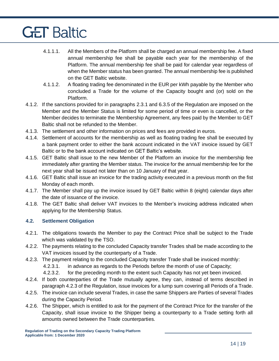- 4.1.1.1. All the Members of the Platform shall be charged an annual membership fee. A fixed annual membership fee shall be payable each year for the membership of the Platform. The annual membership fee shall be paid for calendar year regardless of when the Member status has been granted. The annual membership fee is published on the GET Baltic website.
- 4.1.1.2. A floating trading fee denominated in the EUR per kWh payable by the Member who concluded a Trade for the volume of the Capacity bought and (or) sold on the Platform.
- 4.1.2. If the sanctions provided for in paragraphs [2.3.1](#page-7-1) and [6.3.5](#page-17-3) of the Regulation are imposed on the Member and the Member Status is limited for some period of time or even is cancelled, or the Member decides to terminate the Membership Agreement, any fees paid by the Member to GET Baltic shall not be refunded to the Member.
- 4.1.3. The settlement and other information on prices and fees are provided in euros.
- 4.1.4. Settlement of accounts for the membership as well as floating trading fee shall be executed by a bank payment order to either the bank account indicated in the VAT invoice issued by GET Baltic or to the bank account indicated on GET Baltic's website.
- 4.1.5. GET Baltic shall issue to the new Member of the Platform an invoice for the membership fee immediately after granting the Member status. The invoice for the annual membership fee for the next year shall be issued not later than on 10 January of that year.
- 4.1.6. GET Baltic shall issue an invoice for the trading activity executed in a previous month on the fist Monday of each month.
- 4.1.7. The Member shall pay up the invoice issued by GET Baltic within 8 (eight) calendar days after the date of issuance of the invoice.
- 4.1.8. The GET Baltic shall deliver VAT invoices to the Member's invoicing address indicated when applying for the Membership Status.

#### <span id="page-13-0"></span>**4.2. Settlement Obligation**

- 4.2.1. The obligations towards the Member to pay the Contract Price shall be subject to the Trade which was validated by the TSO.
- 4.2.2. The payments relating to the concluded Capacity transfer Trades shall be made according to the VAT invoices issued by the counterparty of a Trade.
- <span id="page-13-1"></span>4.2.3. The payment relating to the concluded Capacity transfer Trade shall be invoiced monthly:
	- 4.2.3.1. in advance as regards to the Periods before the month of use of Capacity;
	- 4.2.3.2. for the preceding month to the extent such Capacity has not yet been invoiced.
- <span id="page-13-2"></span>4.2.4. If both counterparties of the Trade mutually agree, they can, instead of terms described in paragraph [4.2.3](#page-13-1) of the Regulation, issue invoices for a lump sum covering all Periods of a Trade.
- 4.2.5. The invoice can include several Trades, in case the same Shippers are Parties of several Trades during the Capacity Period.
- 4.2.6. The Shipper, which is entitled to ask for the payment of the Contract Price for the transfer of the Capacity, shall issue invoice to the Shipper being a counterparty to a Trade setting forth all amounts owned between the Trade counterparties.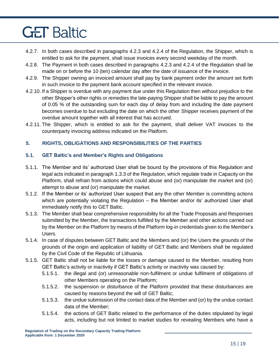- 4.2.7. In both cases described in paragraphs [4.2.3](#page-13-1) and [4.2.4](#page-13-2) of the Regulation, the Shipper, which is entitled to ask for the payment, shall issue invoices every second weekday of the month.
- 4.2.8. The Payment in both cases described in paragraphs 4.2.3 and 4.2.4 of the Regulation shall be made on or before the 10 (ten) calendar day after the date of issuance of the invoice.
- 4.2.9. The Shipper owning an invoiced amount shall pay by bank payment order the amount set forth in such invoice to the payment bank account specified in the relevant invoice.
- 4.2.10. If a Shipper is overdue with any payment due under this Regulation then without prejudice to the other Shipper's other rights or remedies the late-paying Shipper shall be liable to pay the amount of 0.05 % of the outstanding sum for each day of delay from and including the date payment becomes overdue to but excluding the date on which the other Shipper receives payment of the overdue amount together with all interest that has accrued.
- 4.2.11. The Shipper, which is entitled to ask for the payment, shall deliver VAT invoices to the counterparty invoicing address indicated on the Platform.

#### <span id="page-14-0"></span>**5. RIGHTS, OBLIGATIONS AND RESPONSIBILITIES OF THE PARTIES**

#### <span id="page-14-1"></span>**5.1. GET Baltic's and Member's Rights and Obligations**

- 5.1.1. The Member and its' authorized User shall be bound by the provisions of this Regulation and legal acts indicated in paragraph [1.3.3](#page-5-6) of the Regulation, which regulate trade in Capacity on the Platform, shall refrain from actions which could abuse and (or) manipulate the market and (or) attempt to abuse and (or) manipulate the market.
- 5.1.2. If the Member or its' authorized User suspect that any the other Member is committing actions which are potentially violating the Regulation – the Member and/or its' authorized User shall immediately notify this to GET Baltic.
- 5.1.3. The Member shall bear comprehensive responsibility for all the Trade Proposals and Responses submitted by the Member, the transactions fulfilled by the Member and other actions carried out by the Member on the Platform by means of the Platform log-in credentials given to the Member's Users.
- 5.1.4. In case of disputes between GET Baltic and the Members and (or) the Users the grounds of the grounds of the origin and application of liability of GET Baltic and Members shall be regulated by the Civil Code of the Republic of Lithuania.
- 5.1.5. GET Baltic shall not be liable for the losses or damage caused to the Member, resulting from GET Baltic's activity or inactivity if GET Baltic's activity or inactivity was caused by:
	- 5.1.5.1. the illegal and (or) unreasonable non-fulfilment or undue fulfilment of obligations of other Members operating on the Platform;
	- 5.1.5.2. the suspension or disturbance of the Platform provided that these disturbances are caused by reasons beyond the will of GET Baltic;
	- 5.1.5.3. the undue submission of the contact data of the Member and (or) by the undue contact data of the Member;
	- 5.1.5.4. the actions of GET Baltic related to the performance of the duties stipulated by legal acts, including but not limited to market studies for revealing Members who have a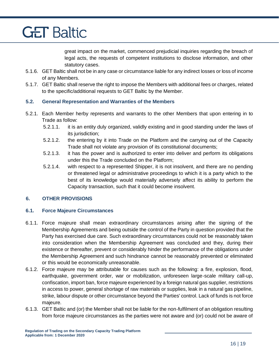great impact on the market, commenced prejudicial inquiries regarding the breach of legal acts, the requests of competent institutions to disclose information, and other statutory cases.

- 5.1.6. GET Baltic shall not be in any case or circumstance liable for any indirect losses or loss of income of any Members.
- 5.1.7. GET Baltic shall reserve the right to impose the Members with additional fees or charges, related to the specific/additional requests to GET Baltic by the Member.

#### <span id="page-15-0"></span>**5.2. General Representation and Warranties of the Members**

- 5.2.1. Each Member herby represents and warrants to the other Members that upon entering in to Trade as follow:
	- 5.2.1.1. it is an entity duly organized, validly existing and in good standing under the laws of its jurisdiction;
	- 5.2.1.2. the entering by it into Trade on the Platform and the carrying out of the Capacity Trade shall not violate any provision of its constitutional documents;
	- 5.2.1.3. it has the power and is authorized to enter into deliver and perform its obligations under this the Trade concluded on the Platform;
	- 5.2.1.4. with respect to a represented Shipper, it is not insolvent, and there are no pending or threatened legal or administrative proceedings to which it is a party which to the best of its knowledge would materially adversely affect its ability to perform the Capacity transaction, such that it could become insolvent.

#### <span id="page-15-1"></span>**6. OTHER PROVISIONS**

#### <span id="page-15-2"></span>**6.1. Force Majeure Circumstances**

- 6.1.1. Force majeure shall mean extraordinary circumstances arising after the signing of the Membership Agreements and being outside the control of the Party in question provided that the Party has exercised due care. Such extraordinary circumstances could not be reasonably taken into consideration when the Membership Agreement was concluded and they, during their existence or thereafter, prevent or considerably hinder the performance of the obligations under the Membership Agreement and such hindrance cannot be reasonably prevented or eliminated or this would be economically unreasonable.
- 6.1.2. Force majeure may be attributable for causes such as the following: a fire, explosion, flood, earthquake, government order, war or mobilization, unforeseen large-scale military call-up, confiscation, import ban, force majeure experienced by a foreign natural gas supplier, restrictions in access to power, general shortage of raw materials or supplies, leak in a natural gas pipeline, strike, labour dispute or other circumstance beyond the Parties' control. Lack of funds is not force majeure.
- 6.1.3. GET Baltic and (or) the Member shall not be liable for the non-fulfilment of an obligation resulting from force majeure circumstances as the parties were not aware and (or) could not be aware of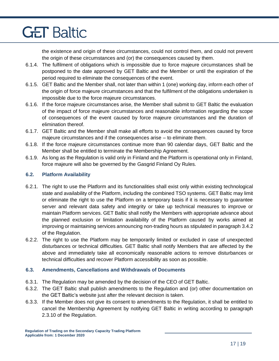the existence and origin of these circumstances, could not control them, and could not prevent the origin of these circumstances and (or) the consequences caused by them.

- 6.1.4. The fulfilment of obligations which is impossible due to force majeure circumstances shall be postponed to the date approved by GET Baltic and the Member or until the expiration of the period required to eliminate the consequences of the event.
- 6.1.5. GET Baltic and the Member shall, not later than within 1 (one) working day, inform each other of the origin of force majeure circumstances and that the fulfilment of the obligations undertaken is impossible due to the force majeure circumstances.
- 6.1.6. If the force majeure circumstances arise, the Member shall submit to GET Baltic the evaluation of the impact of force majeure circumstances and reasonable information regarding the scope of consequences of the event caused by force majeure circumstances and the duration of elimination thereof.
- 6.1.7. GET Baltic and the Member shall make all efforts to avoid the consequences caused by force majeure circumstances and if the consequences arise – to eliminate them.
- 6.1.8. If the force majeure circumstances continue more than 90 calendar days, GET Baltic and the Member shall be entitled to terminate the Membership Agreement.
- 6.1.9. As long as the Regulation is valid only in Finland and the Platform is operational only in Finland, force majeure will also be governed by the Gasgrid Finland Oy Rules.

#### <span id="page-16-0"></span>**6.2. Platform Availability**

- 6.2.1. The right to use the Platform and its functionalities shall exist only within existing technological state and availability of the Platform, including the combined TSO systems. GET Baltic may limit or eliminate the right to use the Platform on a temporary basis if it is necessary to guarantee server and relevant data safety and integrity or take up technical measures to improve or maintain Platform services. GET Baltic shall notify the Members with appropriate advance about the planned exclusion or limitation availability of the Platform caused by works aimed at improving or maintaining services announcing non-trading hours as stipulated in paragraph [3.4.2](#page-12-5) of the Regulation.
- 6.2.2. The right to use the Platform may be temporarily limited or excluded in case of unexpected disturbances or technical difficulties. GET Baltic shall notify Members that are affected by the above and immediately take all economically reasonable actions to remove disturbances or technical difficulties and recover Platform accessibility as soon as possible.

#### <span id="page-16-1"></span>**6.3. Amendments, Cancellations and Withdrawals of Documents**

- 6.3.1. The Regulation may be amended by the decision of the CEO of GET Baltic.
- 6.3.2. The GET Baltic shall publish amendments to the Regulation and (or) other documentation on the GET Baltic's website just after the relevant decision is taken.
- 6.3.3. If the Member does not give its consent to amendments to the Regulation, it shall be entitled to cancel the Membership Agreement by notifying GET Baltic in writing according to paragraph [2.3.10](#page-8-3) of the Regulation.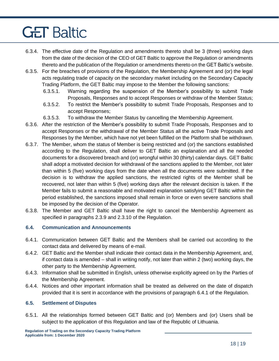- 6.3.4. The effective date of the Regulation and amendments thereto shall be 3 (three) working days from the date of the decision of the CEO of GET Baltic to approve the Regulation or amendments thereto and the publication of the Regulation or amendments thereto on the GET Baltic's website.
- <span id="page-17-3"></span>6.3.5. For the breaches of provisions of the Regulation, the Membership Agreement and (or) the legal acts regulating trade of capacity on the secondary market including on the Secondary Capacity Trading Platform, the GET Baltic may impose to the Member the following sanctions:
	- 6.3.5.1. Warning regarding the suspension of the Member's possibility to submit Trade Proposals, Responses and to accept Responses or withdraw of the Member Status;
	- 6.3.5.2. To restrict the Member's possibility to submit Trade Proposals, Responses and to accept Responses;
	- 6.3.5.3. To withdraw the Member Status by cancelling the Membership Agreement.
- 6.3.6. After the restriction of the Member's possibility to submit Trade Proposals, Responses and to accept Responses or the withdrawal of the Member Status all the active Trade Proposals and Responses by the Member, which have not yet been fulfilled on the Platform shall be withdrawn.
- 6.3.7. The Member, whom the status of Member is being restricted and (or) the sanctions established according to the Regulation, shall deliver to GET Baltic an explanation and all the needed documents for a discovered breach and (or) wrongful within 30 (thirty) calendar days. GET Baltic shall adopt a motivated decision for withdrawal of the sanctions applied to the Member, not later than within 5 (five) working days from the date when all the documents were submitted. If the decision is to withdraw the applied sanctions, the restricted rights of the Member shall be recovered, not later than within 5 (five) working days after the relevant decision is taken. If the Member fails to submit a reasonable and motivated explanation satisfying GET Baltic within the period established, the sanctions imposed shall remain in force or even severe sanctions shall be imposed by the decision of the Operator.
- <span id="page-17-2"></span>6.3.8. The Member and GET Baltic shall have the right to cancel the Membership Agreement as specified in paragraphs [2.3.9](#page-8-4) and [2.3.10](#page-8-3) of the Regulation.

#### <span id="page-17-0"></span>**6.4. Communication and Announcements**

- <span id="page-17-4"></span>6.4.1. Communication between GET Baltic and the Members shall be carried out according to the contact data and delivered by means of e-mail.
- 6.4.2. GET Baltic and the Member shall indicate their contact data in the Membership Agreement, and, if contact data is amended – shall in writing notify, not later than within 2 (two) working days, the other party to the Membership Agreement.
- 6.4.3. Information shall be submitted in English, unless otherwise explicitly agreed on by the Parties of the Membership Agreement.
- 6.4.4. Notices and other important information shall be treated as delivered on the date of dispatch provided that it is sent in accordance with the provisions of paragraph [6.4.1](#page-17-4) of the Regulation.

#### <span id="page-17-1"></span>**6.5. Settlement of Disputes**

6.5.1. All the relationships formed between GET Baltic and (or) Members and (or) Users shall be subject to the application of this Regulation and law of the Republic of Lithuania.